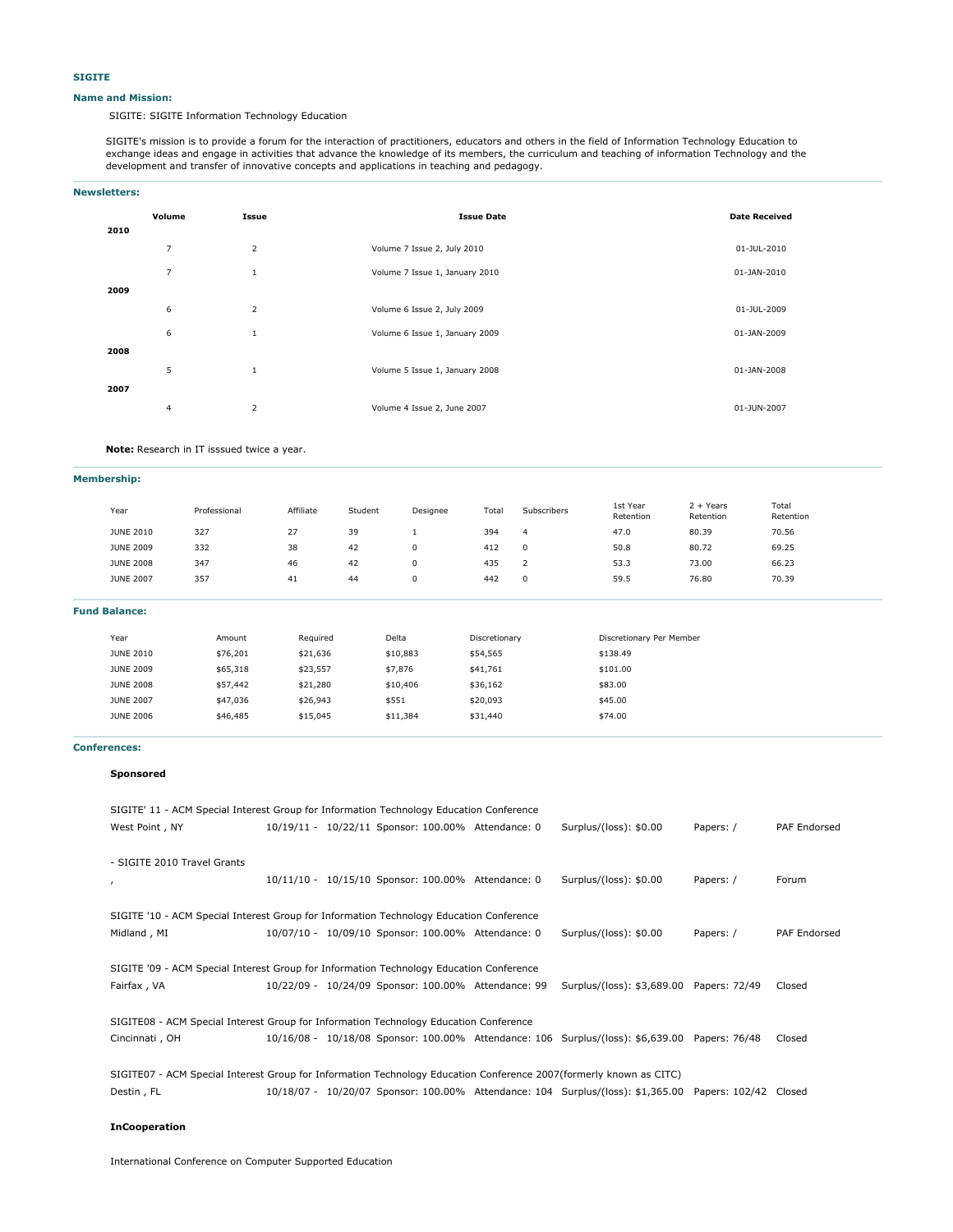#### **Name and Mission:**

SIGITE: SIGITE Information Technology Education

SIGITE's mission is to provide a forum for the interaction of practitioners, educators and others in the field of Information Technology Education to exchange ideas and engage in activities that advance the knowledge of its members, the curriculum and teaching of information Technology and the development and transfer of innovative concepts and applications in teaching and pedagogy.

### **Newsletters:**

| 2010 | Volume         | Issue          | <b>Issue Date</b>              | <b>Date Received</b> |
|------|----------------|----------------|--------------------------------|----------------------|
|      | $\overline{7}$ | $\overline{2}$ | Volume 7 Issue 2, July 2010    | 01-JUL-2010          |
|      | $\overline{7}$ | 1              | Volume 7 Issue 1, January 2010 | 01-JAN-2010          |
| 2009 |                |                |                                |                      |
|      | 6              | $\overline{2}$ | Volume 6 Issue 2, July 2009    | 01-JUL-2009          |
|      | 6              | 1              | Volume 6 Issue 1, January 2009 | 01-JAN-2009          |
| 2008 |                |                |                                |                      |
|      | 5              | $\mathbf{1}$   | Volume 5 Issue 1, January 2008 | 01-JAN-2008          |
| 2007 |                |                |                                |                      |
|      | $\overline{4}$ | $\overline{2}$ | Volume 4 Issue 2, June 2007    | 01-JUN-2007          |

**Note:** Research in IT isssued twice a year.

**Membership:**

| Year             | Professional | Affiliate     | Student | Designee | Total | Subscribers | 1st Year<br>Retention | $2 + Years$<br>Retention | Total<br>Retention |  |
|------------------|--------------|---------------|---------|----------|-------|-------------|-----------------------|--------------------------|--------------------|--|
| <b>JUNE 2010</b> | 327          | 77<br>$\iota$ | 39      |          | 394   | 4           | 47.0                  | 80.39                    | 70.56              |  |
| <b>JUNE 2009</b> | 332          | 38            | 42      | 0        | 412   |             | 50.8                  | 80.72                    | 69.25              |  |
| <b>JUNE 2008</b> | 347          | 46            | 42      | 0        | 435   |             | 53.3                  | 73.00                    | 66.23              |  |
| <b>JUNE 2007</b> | 357          | -41           | 44      | 0        | 442   | $\Omega$    | 59.5                  | 76.80                    | 70.39              |  |
|                  |              |               |         |          |       |             |                       |                          |                    |  |

**Fund Balance:**

| Year |                  | Amount   | Required | Delta    | Discretionary | Discretionary Per Member |
|------|------------------|----------|----------|----------|---------------|--------------------------|
|      | <b>JUNE 2010</b> | \$76,201 | \$21,636 | \$10,883 | \$54,565      | \$138.49                 |
|      | <b>JUNE 2009</b> | \$65,318 | \$23,557 | \$7,876  | \$41,761      | \$101.00                 |
|      | <b>JUNE 2008</b> | \$57,442 | \$21,280 | \$10,406 | \$36,162      | \$83.00                  |
|      | <b>JUNE 2007</b> | \$47,036 | \$26,943 | \$551    | \$20,093      | \$45.00                  |
|      | <b>JUNE 2006</b> | \$46,485 | \$15,045 | \$11,384 | \$31,440      | \$74.00                  |
|      |                  |          |          |          |               |                          |

#### **Conferences:**

#### **Sponsored**

| SIGITE' 11 - ACM Special Interest Group for Information Technology Education Conference                            |  |  |                                                     |  |                                                                                                       |               |              |
|--------------------------------------------------------------------------------------------------------------------|--|--|-----------------------------------------------------|--|-------------------------------------------------------------------------------------------------------|---------------|--------------|
| West Point, NY                                                                                                     |  |  | 10/19/11 - 10/22/11 Sponsor: 100.00% Attendance: 0  |  | Surplus/(loss): \$0.00                                                                                | Papers: /     | PAF Endorsed |
| - SIGITE 2010 Travel Grants                                                                                        |  |  |                                                     |  |                                                                                                       |               |              |
| $\mathbf{r}$                                                                                                       |  |  | 10/11/10 - 10/15/10 Sponsor: 100.00% Attendance: 0  |  | Surplus/(loss): \$0.00                                                                                | Papers: /     | Forum        |
| SIGITE '10 - ACM Special Interest Group for Information Technology Education Conference                            |  |  |                                                     |  |                                                                                                       |               |              |
| Midland, MI                                                                                                        |  |  | 10/07/10 - 10/09/10 Sponsor: 100.00% Attendance: 0  |  | Surplus/(loss): \$0.00                                                                                | Papers: /     | PAF Endorsed |
| SIGITE '09 - ACM Special Interest Group for Information Technology Education Conference                            |  |  |                                                     |  |                                                                                                       |               |              |
| Fairfax, VA                                                                                                        |  |  | 10/22/09 - 10/24/09 Sponsor: 100.00% Attendance: 99 |  | Surplus/(loss): \$3,689.00                                                                            | Papers: 72/49 | Closed       |
| SIGITE08 - ACM Special Interest Group for Information Technology Education Conference                              |  |  |                                                     |  |                                                                                                       |               |              |
| Cincinnati, OH                                                                                                     |  |  |                                                     |  | 10/16/08 - 10/18/08 Sponsor: 100.00% Attendance: 106 Surplus/(loss): \$6,639.00 Papers: 76/48         |               | Closed       |
| SIGITE07 - ACM Special Interest Group for Information Technology Education Conference 2007(formerly known as CITC) |  |  |                                                     |  |                                                                                                       |               |              |
| Destin, FL                                                                                                         |  |  |                                                     |  | 10/18/07 - 10/20/07 Sponsor: 100.00% Attendance: 104 Surplus/(loss): \$1,365.00 Papers: 102/42 Closed |               |              |

# **InCooperation**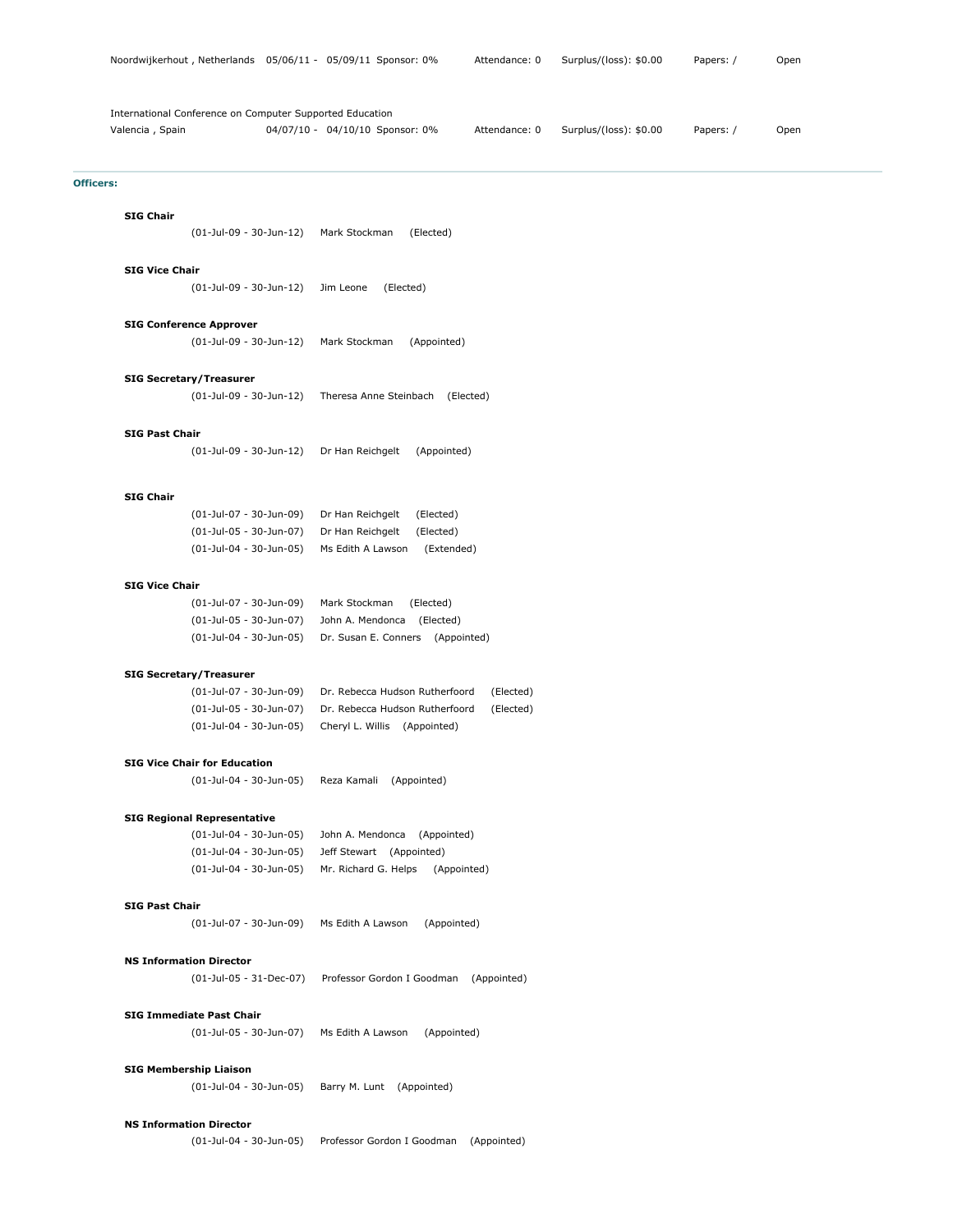| International Conference on Computer Supported Education<br>Valencia, Spain | 04/07/10 - 04/10/10 Sponsor: 0%<br>Papers: /<br>Attendance: 0<br>Surplus/(loss): \$0.00<br>Open |
|-----------------------------------------------------------------------------|-------------------------------------------------------------------------------------------------|
| <b>Officers:</b>                                                            |                                                                                                 |
| <b>SIG Chair</b>                                                            |                                                                                                 |
| $(01$ -Jul-09 - 30-Jun-12)                                                  | Mark Stockman<br>(Elected)                                                                      |
| <b>SIG Vice Chair</b>                                                       |                                                                                                 |
| (01-Jul-09 - 30-Jun-12)                                                     | (Elected)<br>Jim Leone                                                                          |
| <b>SIG Conference Approver</b>                                              |                                                                                                 |
| (01-Jul-09 - 30-Jun-12)                                                     | Mark Stockman<br>(Appointed)                                                                    |
| <b>SIG Secretary/Treasurer</b>                                              |                                                                                                 |
| (01-Jul-09 - 30-Jun-12)                                                     | Theresa Anne Steinbach (Elected)                                                                |
| <b>SIG Past Chair</b>                                                       |                                                                                                 |
| (01-Jul-09 - 30-Jun-12)                                                     | Dr Han Reichgelt<br>(Appointed)                                                                 |
| <b>SIG Chair</b>                                                            |                                                                                                 |
| (01-Jul-07 - 30-Jun-09)                                                     | Dr Han Reichgelt<br>(Elected)                                                                   |
| (01-Jul-05 - 30-Jun-07)                                                     | (Elected)<br>Dr Han Reichgelt                                                                   |
| (01-Jul-04 - 30-Jun-05)                                                     | (Extended)<br>Ms Edith A Lawson                                                                 |
| <b>SIG Vice Chair</b>                                                       |                                                                                                 |
| (01-Jul-07 - 30-Jun-09)                                                     | Mark Stockman<br>(Elected)                                                                      |
| (01-Jul-05 - 30-Jun-07)                                                     | John A. Mendonca (Elected)                                                                      |
| (01-Jul-04 - 30-Jun-05)                                                     | Dr. Susan E. Conners (Appointed)                                                                |
| <b>SIG Secretary/Treasurer</b>                                              |                                                                                                 |
| (01-Jul-07 - 30-Jun-09)                                                     | Dr. Rebecca Hudson Rutherfoord<br>(Elected)                                                     |
| (01-Jul-05 - 30-Jun-07)                                                     | Dr. Rebecca Hudson Rutherfoord<br>(Elected)                                                     |
| (01-Jul-04 - 30-Jun-05)                                                     | Cheryl L. Willis (Appointed)                                                                    |
| <b>SIG Vice Chair for Education</b>                                         |                                                                                                 |
| (01-Jul-04 - 30-Jun-05)                                                     | Reza Kamali (Appointed)                                                                         |
| <b>SIG Regional Representative</b>                                          |                                                                                                 |
| (01-Jul-04 - 30-Jun-05)                                                     | John A. Mendonca (Appointed)                                                                    |
| (01-Jul-04 - 30-Jun-05)<br>(01-Jul-04 - 30-Jun-05)                          | Jeff Stewart (Appointed)<br>Mr. Richard G. Helps<br>(Appointed)                                 |
|                                                                             |                                                                                                 |
| <b>SIG Past Chair</b>                                                       |                                                                                                 |
| (01-Jul-07 - 30-Jun-09)                                                     | (Appointed)<br>Ms Edith A Lawson                                                                |
| <b>NS Information Director</b>                                              |                                                                                                 |
| $(01$ -Jul-05 - 31-Dec-07)                                                  | Professor Gordon I Goodman (Appointed)                                                          |
| <b>SIG Immediate Past Chair</b>                                             |                                                                                                 |
| (01-Jul-05 - 30-Jun-07)                                                     | (Appointed)<br>Ms Edith A Lawson                                                                |
| <b>SIG Membership Liaison</b>                                               |                                                                                                 |
| (01-Jul-04 - 30-Jun-05)                                                     | Barry M. Lunt (Appointed)                                                                       |

# **NS Information Director**

(01-Jul-04 - 30-Jun-05) Professor Gordon I Goodman (Appointed)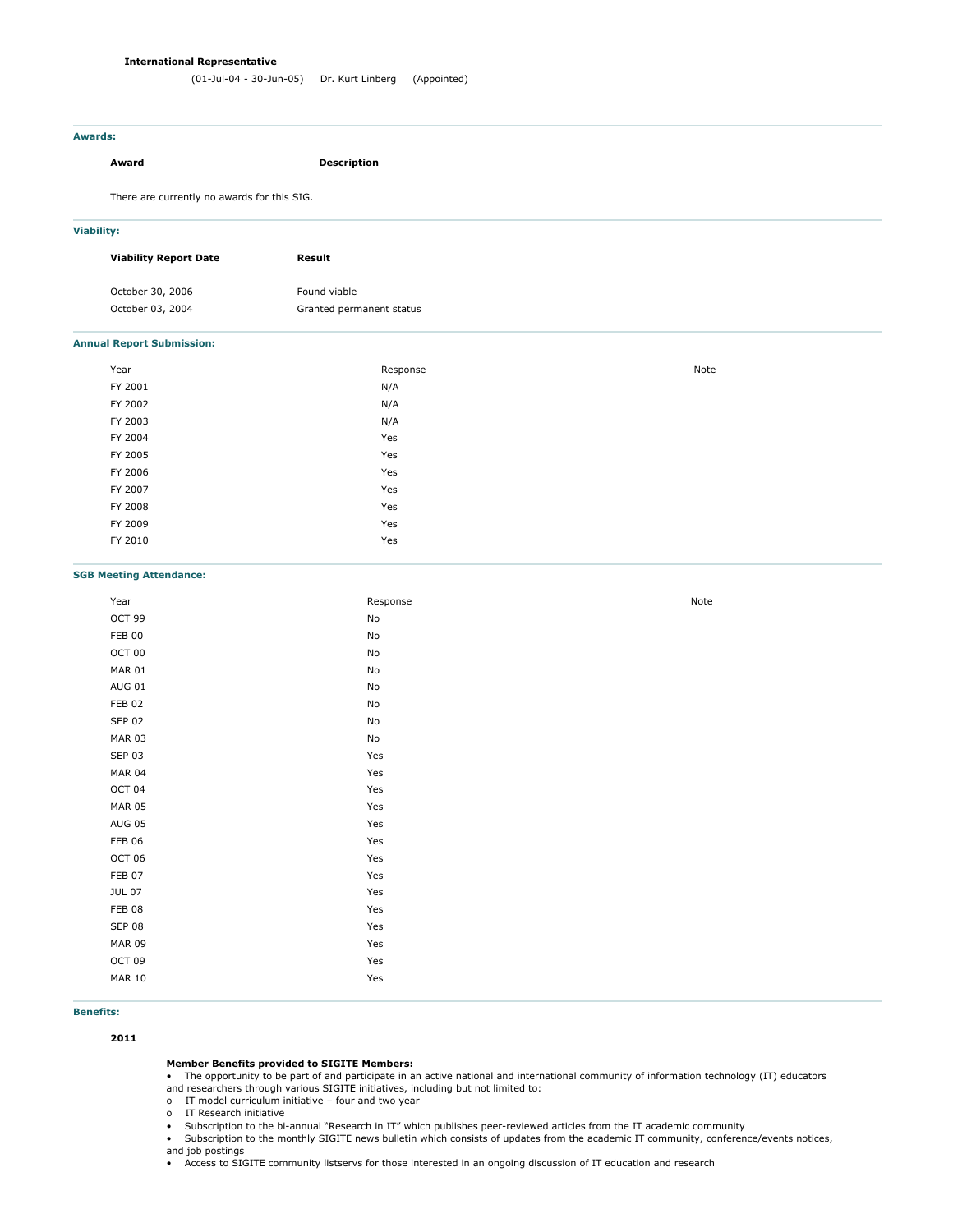### **International Representative**

# **Awards:**

# **Award Description**

There are currently no awards for this SIG.

# **Viability:**

| <b>Viability Report Date</b> | Result                   |
|------------------------------|--------------------------|
| October 30, 2006             | Found viable             |
| October 03, 2004             | Granted permanent status |

### **Annual Report Submission:**

| Year    | Response | Note |
|---------|----------|------|
| FY 2001 | N/A      |      |
| FY 2002 | N/A      |      |
| FY 2003 | N/A      |      |
| FY 2004 | Yes      |      |
| FY 2005 | Yes      |      |
| FY 2006 | Yes      |      |
| FY 2007 | Yes      |      |
| FY 2008 | Yes      |      |
| FY 2009 | Yes      |      |
| FY 2010 | Yes      |      |
|         |          |      |

### **SGB Meeting Attendance:**

| Year          | Response | Note |
|---------------|----------|------|
| OCT 99        | No       |      |
| <b>FEB 00</b> | No       |      |
| OCT 00        | No       |      |
| <b>MAR 01</b> | No       |      |
| <b>AUG 01</b> | No       |      |
| FEB 02        | No       |      |
| <b>SEP 02</b> | No       |      |
| <b>MAR 03</b> | No       |      |
| <b>SEP 03</b> | Yes      |      |
| <b>MAR 04</b> | Yes      |      |
| OCT 04        | Yes      |      |
| <b>MAR 05</b> | Yes      |      |
| <b>AUG 05</b> | Yes      |      |
| <b>FEB 06</b> | Yes      |      |
| OCT 06        | Yes      |      |
| <b>FEB 07</b> | Yes      |      |
| <b>JUL 07</b> | Yes      |      |
| FEB 08        | Yes      |      |
| <b>SEP 08</b> | Yes      |      |
| <b>MAR 09</b> | Yes      |      |
| OCT 09        | Yes      |      |
| <b>MAR 10</b> | Yes      |      |
|               |          |      |

# **Benefits:**

**2011**

# **Member Benefits provided to SIGITE Members:**

• The opportunity to be part of and participate in an active national and international community of information technology (IT) educators and researchers through various SIGITE initiatives, including but not limited to:

o IT model curriculum initiative – four and two year

o IT Research initiative

• Subscription to the bi-annual "Research in IT" which publishes peer-reviewed articles from the IT academic community

• Subscription to the monthly SIGITE news bulletin which consists of updates from the academic IT community, conference/events notices, and job postings

• Access to SIGITE community listservs for those interested in an ongoing discussion of IT education and research